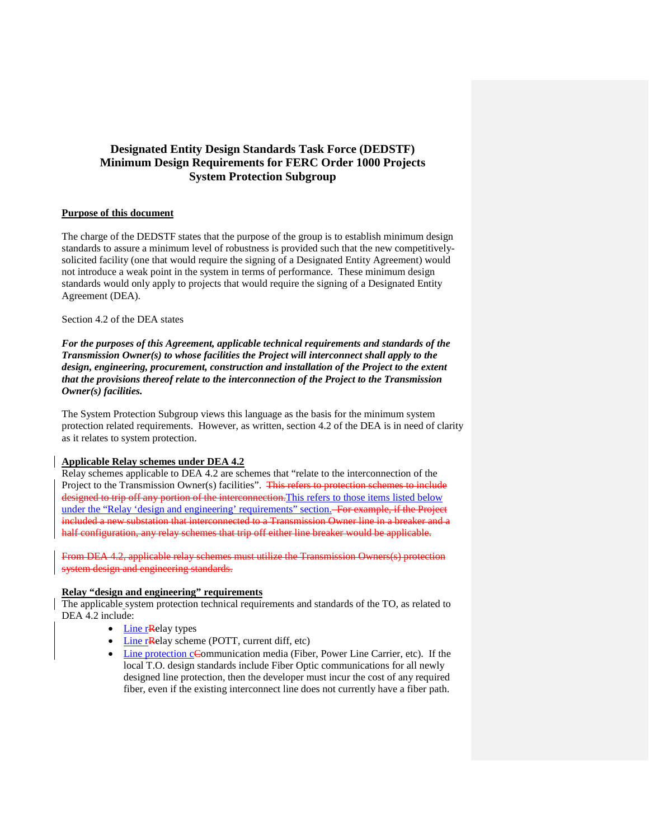# **Designated Entity Design Standards Task Force (DEDSTF) Minimum Design Requirements for FERC Order 1000 Projects System Protection Subgroup**

## **Purpose of this document**

The charge of the DEDSTF states that the purpose of the group is to establish minimum design standards to assure a minimum level of robustness is provided such that the new competitivelysolicited facility (one that would require the signing of a Designated Entity Agreement) would not introduce a weak point in the system in terms of performance. These minimum design standards would only apply to projects that would require the signing of a Designated Entity Agreement (DEA).

### Section 4.2 of the DEA states

*For the purposes of this Agreement, applicable technical requirements and standards of the Transmission Owner(s) to whose facilities the Project will interconnect shall apply to the design, engineering, procurement, construction and installation of the Project to the extent that the provisions thereof relate to the interconnection of the Project to the Transmission Owner(s) facilities.*

The System Protection Subgroup views this language as the basis for the minimum system protection related requirements. However, as written, section 4.2 of the DEA is in need of clarity as it relates to system protection.

## **Applicable Relay schemes under DEA 4.2**

Relay schemes applicable to DEA 4.2 are schemes that "relate to the interconnection of the Project to the Transmission Owner(s) facilities". This refers to protection schemes to include designed to trip off any portion of the interconnection. This refers to those items listed below under the "Relay 'design and engineering' requirements" section. For example, if the Project included a new substation that interconnected to a Transmission Owner line in a breaker and a half configuration, any relay schemes that trip off either line breaker would be applicable.

From DEA 4.2, applicable relay schemes must utilize the Transmission Owners(s) protection system design and engineering standards.

# **Relay "design and engineering" requirements**

The applicable system protection technical requirements and standards of the TO, as related to DEA 4.2 include:

- Line rRelay types
- Line rRelay scheme (POTT, current diff, etc)
- Line protection cCommunication media (Fiber, Power Line Carrier, etc). If the local T.O. design standards include Fiber Optic communications for all newly designed line protection, then the developer must incur the cost of any required fiber, even if the existing interconnect line does not currently have a fiber path.